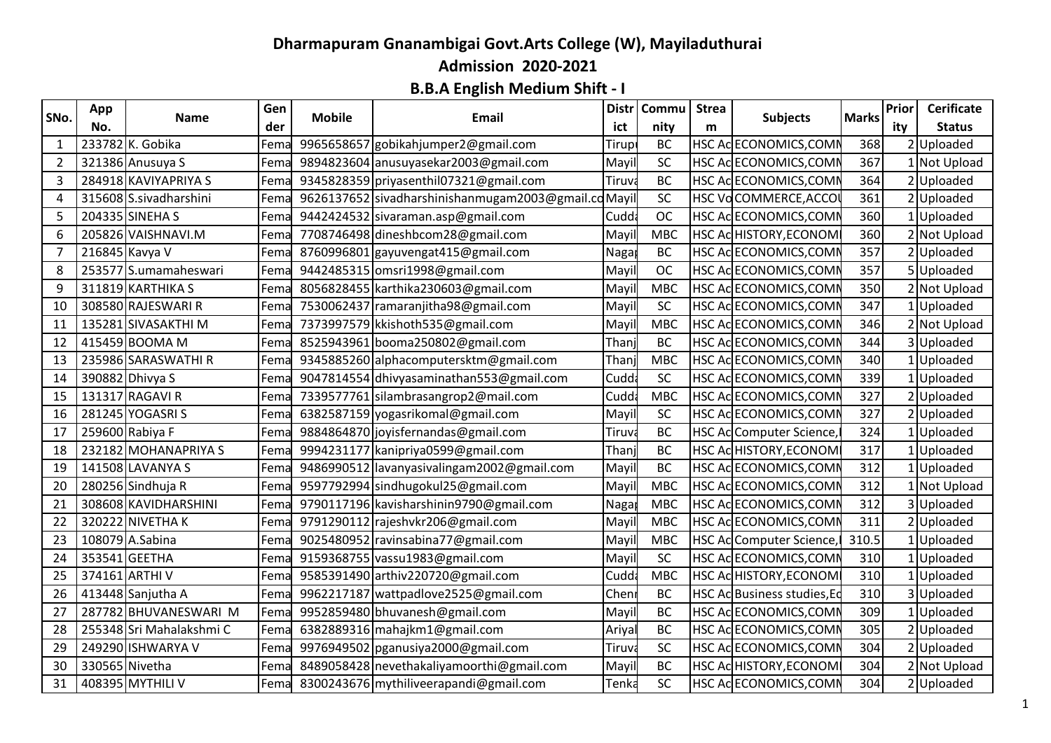## **Dharmapuram Gnanambigai Govt.Arts College (W), Mayiladuthurai Admission 2020-2021**

## **B.B.A English Medium Shift - I**

|                | App            |                          | Gen  |               |                                                | <b>Distr</b> | Commu      | <b>Strea</b> | <b>Subjects</b>             |              | Prior | <b>Cerificate</b> |
|----------------|----------------|--------------------------|------|---------------|------------------------------------------------|--------------|------------|--------------|-----------------------------|--------------|-------|-------------------|
| SNo.           | No.            | Name                     | der  | <b>Mobile</b> | <b>Email</b>                                   | ict          | nity       | m            |                             | <b>Marks</b> | ity   | <b>Status</b>     |
| 1              |                | 233782 K. Gobika         | Fema |               | 9965658657 gobikahjumper2@gmail.com            | Tirupi       | <b>BC</b>  |              | HSC AC ECONOMICS, COMN      | 368          |       | 2 Uploaded        |
| $\overline{2}$ |                | 321386 Anusuya S         | Fema |               | 9894823604 anusuyasekar2003@gmail.com          | Mayil        | SC         |              | HSC ACECONOMICS, COMN       | 367          |       | 1 Not Upload      |
| 3              |                | 284918 KAVIYAPRIYA S     | Fema |               | 9345828359 priyasenthil07321@gmail.com         | Tiruv        | <b>BC</b>  |              | HSC Ac ECONOMICS, COMM      | 364          |       | 2Uploaded         |
| 4              |                | 315608 S.sivadharshini   | Fema |               | 9626137652 sivadharshinishanmugam2003@gmail.co | Mayi         | SC         |              | HSC VoCOMMERCE, ACCO        | 361          |       | 2 Uploaded        |
| 5              |                | 204335 SINEHA S          | Fema |               | 9442424532 sivaraman.asp@gmail.com             | Cudd:        | <b>OC</b>  |              | HSC Ac ECONOMICS, COMN      | 360          |       | 1 Uploaded        |
| 6              |                | 205826 VAISHNAVI.M       | Fema |               | 7708746498 dineshbcom28@gmail.com              | Mayil        | <b>MBC</b> |              | HSC ACHISTORY, ECONOM       | 360          |       | 2 Not Upload      |
|                | 216845 Kavya V |                          | Fema |               | 8760996801 gayuvengat415@gmail.com             | Naga         | BC         |              | HSC AC ECONOMICS, COMN      | 357          |       | 2Uploaded         |
| 8              |                | 253577 S.umamaheswari    | Fema |               | 9442485315 omsri1998@gmail.com                 | Mayil        | <b>OC</b>  |              | HSC AC ECONOMICS, COMN      | 357          |       | 5Uploaded         |
| 9              |                | 311819 KARTHIKA S        | Fema |               | 8056828455 karthika230603@gmail.com            | Mayil        | <b>MBC</b> |              | HSC Ac ECONOMICS, COMN      | 350          |       | 2 Not Upload      |
| 10             |                | 308580 RAJESWARI R       | Fema |               | 7530062437 ramaranjitha98@gmail.com            | Mayi         | SC         |              | HSC AC ECONOMICS, COMI      | 347          |       | Uploaded          |
| 11             |                | 135281 SIVASAKTHI M      | Fema |               | 7373997579 kkishoth 535@gmail.com              | Mayi         | <b>MBC</b> |              | HSC ACECONOMICS, COMN       | 346          |       | 2 Not Upload      |
| 12             |                | 415459 BOOMA M           | Fema |               | 8525943961 booma250802@gmail.com               | Than         | BC         |              | HSC AC ECONOMICS, COMN      | 344          |       | 3 Uploaded        |
| 13             |                | 235986 SARASWATHI R      | Fema |               | 9345885260 alphacomputersktm@gmail.com         | Thanj        | <b>MBC</b> |              | HSC AcECONOMICS, COMN       | 340          |       | 1 Uploaded        |
| 14             |                | 390882 Dhivya S          | Fema |               | 9047814554 dhivyasaminathan553@gmail.com       | Cudd         | SC         |              | HSC Ac ECONOMICS, COMN      | 339          |       | Uploaded          |
| 15             |                | 131317 RAGAVI R          | Fema |               | 7339577761 silambrasangrop2@mail.com           | Cudd         | <b>MBC</b> |              | HSC Ac ECONOMICS, COMN      | 327          |       | 2 Uploaded        |
| 16             |                | 281245 YOGASRI S         | Fema |               | 6382587159 yogasrikomal@gmail.com              | Mayil        | SC         |              | HSC Ac ECONOMICS, COMN      | 327          |       | 2 Uploaded        |
| 17             |                | 259600 Rabiya F          | Fema |               | 9884864870 joyisfernandas@gmail.com            | Tiruv        | BC         |              | HSC Ac Computer Science,    | 324          |       | 1 Uploaded        |
| 18             |                | 232182 MOHANAPRIYA S     | Fema |               | 9994231177 kanipriya0599@gmail.com             | Than         | BC         |              | HSC ACHISTORY, ECONOMI      | 317          |       | Uploaded          |
| 19             |                | 141508 LAVANYA S         | Fema |               | 9486990512 lavanyasivalingam2002@gmail.com     | Mayi         | <b>BC</b>  |              | HSC ACECONOMICS, COMN       | 312          |       | Uploaded          |
| 20             |                | 280256 Sindhuja R        | Fema |               | 9597792994 sindhugokul25@gmail.com             | Mayil        | <b>MBC</b> |              | HSC Ac ECONOMICS, COMN      | 312          |       | 1 Not Upload      |
| 21             |                | 308608 KAVIDHARSHINI     | Fema |               | 9790117196 kavisharshinin9790@gmail.com        | Naga         | <b>MBC</b> |              | HSC AcECONOMICS, COMN       | 312          |       | 3 Uploaded        |
| 22             |                | 320222 NIVETHA K         | Fema |               | 9791290112 rajeshvkr206@gmail.com              | Mayi         | <b>MBC</b> |              | HSC AcECONOMICS, COMN       | 311          |       | 2 Uploaded        |
| 23             |                | 108079 A.Sabina          | Fema |               | 9025480952 ravinsabina77@gmail.com             | Mayil        | <b>MBC</b> |              | HSC Ac Computer Science,    | 310.5        |       | 1 Uploaded        |
| 24             |                | 353541 GEETHA            | Fema |               | 9159368755 vassu1983@gmail.com                 | Mayil        | SC         |              | HSC Ac ECONOMICS, COMN      | 310          |       | 1Uploaded         |
| 25             |                | 374161 ARTHI V           | Fema |               | 9585391490 arthiv220720@gmail.com              | Cudd         | <b>MBC</b> |              | HSC ACHISTORY, ECONOM       | 310          |       | 1 Uploaded        |
| 26             |                | 413448 Sanjutha A        | Fema |               | 9962217187 wattpadlove2525@gmail.com           | Chen         | <b>BC</b>  |              | HSC Ac Business studies, Ec | 310          |       | 3Uploaded         |
| 27             |                | 287782 BHUVANESWARI M    | Fema |               | 9952859480 bhuvanesh@gmail.com                 | Mayil        | <b>BC</b>  |              | HSC ACECONOMICS, COMP       | 309          |       | Uploaded          |
| 28             |                | 255348 Sri Mahalakshmi C | Fema |               | 6382889316 mahajkm1@gmail.com                  | Ariyal       | BC         |              | HSC ACECONOMICS, COMN       | 305          |       | 2 Uploaded        |
| 29             |                | 249290 ISHWARYA V        | Fema |               | 9976949502 pganusiya2000@gmail.com             | Tiruv        | SC         |              | HSC AC ECONOMICS, COMM      | 304          |       | 2 Uploaded        |
| 30             | 330565 Nivetha |                          | Fema |               | 8489058428 nevethakaliyamoorthi@gmail.com      | Mayi         | BC         |              | HSC ACHISTORY, ECONOMI      | 304          |       | 2 Not Upload      |
| 31             |                | 408395 MYTHILI V         | Fema |               | 8300243676 mythiliveerapandi@gmail.com         | Tenka        | SC         |              | HSC ACECONOMICS, COMN       | 304          |       | 2 Uploaded        |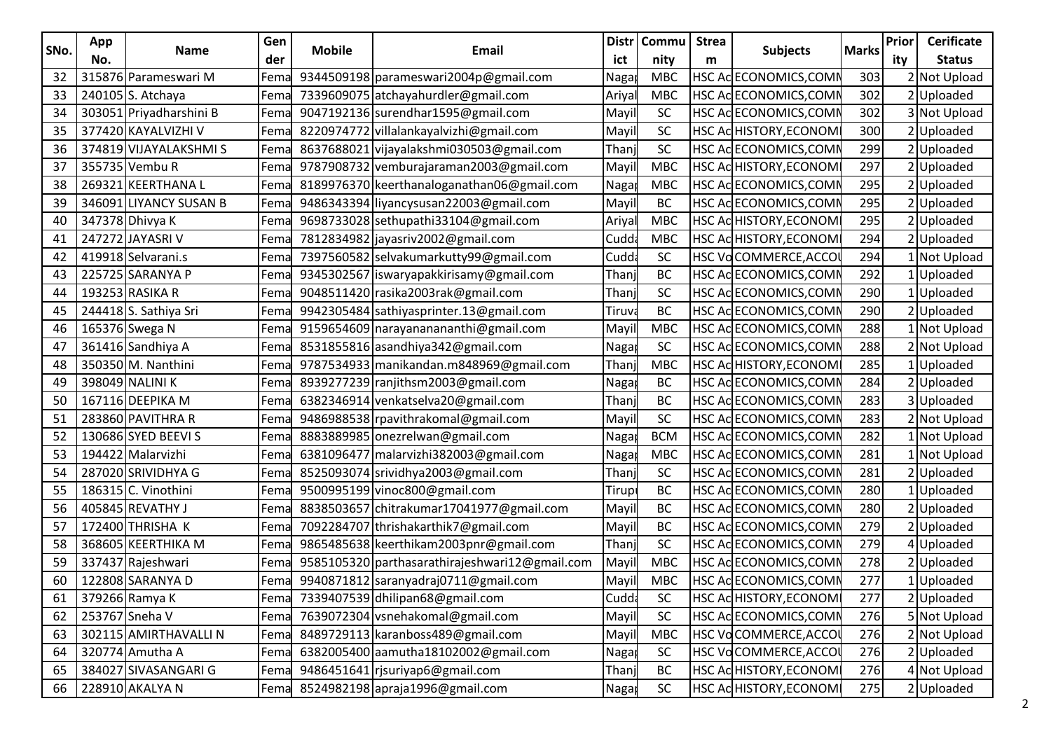|      | App |                          | Gen  |               |                                                |       | Distr   Commu | <b>Strea</b> |                        |              | Prior | <b>Cerificate</b> |
|------|-----|--------------------------|------|---------------|------------------------------------------------|-------|---------------|--------------|------------------------|--------------|-------|-------------------|
| SNo. | No. | <b>Name</b>              | der  | <b>Mobile</b> | Email                                          | ict   | nity          | m            | <b>Subjects</b>        | <b>Marks</b> | ity   | <b>Status</b>     |
| 32   |     | 315876 Parameswari M     | Fema |               | 9344509198 parameswari2004p@gmail.com          | Naga  | <b>MBC</b>    |              | HSC Ac ECONOMICS, COMI | 303          |       | 2 Not Upload      |
| 33   |     | 240105 S. Atchaya        | Fema |               | 7339609075 atchayahurdler@gmail.com            | Ariya | <b>MBC</b>    |              | HSC Ac ECONOMICS, COMI | 302          |       | 2 Uploaded        |
| 34   |     | 303051 Priyadharshini B  | Fema |               | 9047192136 surendhar1595@gmail.com             | Mayi  | <b>SC</b>     |              | HSC Ac ECONOMICS, COMI | 302          |       | 3 Not Upload      |
| 35   |     | 377420 KAYALVIZHI V      | Fema |               | 8220974772 villalankayalvizhi@gmail.com        | Mayi  | SC            |              | HSC AcHISTORY, ECONOM  | 300          |       | 2 Uploaded        |
| 36   |     | 374819 VIJAYALAKSHMI S   | Fema |               | 8637688021 vijayalakshmi030503@gmail.com       | Than  | SC            |              | HSC Ac ECONOMICS, COMI | 299          |       | 2Uploaded         |
| 37   |     | 355735 Vembu R           | Fema |               | 9787908732 vemburajaraman2003@gmail.com        | May   | <b>MBC</b>    |              | HSC ACHISTORY, ECONOM  | 297          |       | 2Uploaded         |
| 38   |     | 269321 KEERTHANA L       | Fema |               | 8189976370 keerthanaloganathan06@gmail.com     | Naga  | <b>MBC</b>    |              | HSC Ac ECONOMICS, COMI | 295          |       | 2 Uploaded        |
| 39   |     | 346091 LIYANCY SUSAN B   | Fema |               | 9486343394 liyancysusan22003@gmail.com         | Mayi  | ВC            |              | HSC ACECONOMICS, COMI  | 295          |       | 2 Uploaded        |
| 40   |     | 347378 Dhivya K          | Fema |               | 9698733028 sethupathi33104@gmail.com           | Ariya | <b>MBC</b>    |              | HSC AcHISTORY, ECONOM  | 295          |       | 2 Uploaded        |
| 41   |     | 247272 JAYASRI V         | Fema |               | 7812834982 jayasriv2002@gmail.com              | Cudd  | <b>MBC</b>    |              | HSC AcHISTORY, ECONOM  | 294          |       | 2Uploaded         |
| 42   |     | 419918 Selvarani.s       | Fema |               | 7397560582 selvakumarkutty99@gmail.com         | Cudd  | <b>SC</b>     |              | HSC VoCOMMERCE, ACCO   | 294          |       | 1 Not Upload      |
| 43   |     | 225725 SARANYA P         | Fema |               | 9345302567 iswaryapakkirisamy@gmail.com        | Than  | BC            |              | HSC Ac ECONOMICS, COMI | 292          |       | 1 Uploaded        |
| 44   |     | 193253 RASIKA R          | Fema |               | 9048511420 rasika2003rak@gmail.com             | Than  | <b>SC</b>     |              | HSC ACECONOMICS, COMI  | 290          |       | 1 Uploaded        |
| 45   |     | 244418 S. Sathiya Sri    | Fema |               | 9942305484 sathiyasprinter.13@gmail.com        | Tiruv | <b>BC</b>     |              | HSC Ac ECONOMICS,COMI  | 290          |       | 2 Uploaded        |
| 46   |     | 165376 Swega N           | Fema |               | 9159654609 narayananananthi@gmail.com          | May   | <b>MBC</b>    |              | HSC Ac ECONOMICS,COMI  | 288          |       | 1 Not Upload      |
| 47   |     | 361416 Sandhiya A        | Fema |               | 8531855816 asandhiya342@gmail.com              | Naga  | <b>SC</b>     |              | HSC Ac ECONOMICS, COMI | 288          |       | 2 Not Upload      |
| 48   |     | 350350 M. Nanthini       | Fema |               | 9787534933 manikandan.m848969@gmail.com        | Than  | <b>MBC</b>    |              | HSC Ad HISTORY, ECONOM | 285          |       | 1 Uploaded        |
| 49   |     | 398049 NALINIK           | Fema |               | 8939277239 ranjithsm2003@gmail.com             | Naga  | ВC            |              | HSC ACECONOMICS, COMI  | 284          |       | 2 Uploaded        |
| 50   |     | 167116 DEEPIKA M         | Fema |               | 6382346914 venkatselva20@gmail.com             | Than  | BC            |              | HSC Ac ECONOMICS, COMI | 283          |       | 3 Uploaded        |
| 51   |     | 283860 PAVITHRA R        | Fema |               | 9486988538 rpavithrakomal@gmail.com            | May   | SC            |              | HSC Ac ECONOMICS,COMI  | 283          |       | 2 Not Upload      |
| 52   |     | 130686 SYED BEEVI S      | Fema |               | 8883889985 onezrelwan@gmail.com                | Naga  | <b>BCM</b>    |              | HSC Ac ECONOMICS, COMI | 282          |       | 1 Not Upload      |
| 53   |     | 194422 Malarvizhi        | Fema |               | 6381096477 malarvizhi382003@gmail.com          | Naga  | <b>MBC</b>    |              | HSC AdECONOMICS, COMP  | 281          |       | 1 Not Upload      |
| 54   |     | 287020 SRIVIDHYA G       | Fema |               | 8525093074 srividhya2003@gmail.com             | Than  | <b>SC</b>     |              | HSC ACECONOMICS, COMI  | 281          |       | 2 Uploaded        |
| 55   |     | 186315 C. Vinothini      | Fema |               | 9500995199 vinoc800@gmail.com                  | Tirup | <b>BC</b>     |              | HSC Ac ECONOMICS, COMI | 280          |       | 1 Uploaded        |
| 56   |     | 405845 REVATHY J         | Fema |               | 8838503657 chitrakumar17041977@gmail.com       | May   | BC            |              | HSC Ac ECONOMICS,COMI  | 280          |       | 2Uploaded         |
| 57   |     | 172400 THRISHA K         | Fema |               | 7092284707 thrishakarthik7@gmail.com           | May   | BC            |              | HSC Ac ECONOMICS, COMI | 279          |       | 2Uploaded         |
| 58   |     | 368605 KEERTHIKA M       | Fema |               | 9865485638 keerthikam2003pnr@gmail.com         | Than  | SC            |              | HSC AdECONOMICS, COMP  | 279          |       | 4 Uploaded        |
| 59   |     | 337437 Rajeshwari        | Fema |               | 9585105320 parthasarathirajeshwari12@gmail.com | Mayi  | <b>MBC</b>    |              | HSC Ac ECONOMICS, COMI | 278          |       | 2 Uploaded        |
|      |     | 60   122808 SARANYA D    | Fema |               | 9940871812 saranyadraj0711@gmail.com           | Mayil | <b>MBC</b>    |              | HSC AdECONOMICS, COMP  | 277          |       | 1 Uploaded        |
|      |     | 61 379266 Ramya K        | Fema |               | 7339407539 dhilipan68@gmail.com                | Cudd  | <b>SC</b>     |              | HSC ACHISTORY, ECONOM  | 277          |       | 2Uploaded         |
|      |     | 62 253767 Sneha V        | Fema |               | 7639072304 vsnehakomal@gmail.com               | Mayi  | SC            |              | HSC AC ECONOMICS, COMM | 276          |       | 5 Not Upload      |
|      |     | 63 302115 AMIRTHAVALLI N | Fema |               | 8489729113 karanboss489@gmail.com              | Mayi  | <b>MBC</b>    |              | HSC VoCOMMERCE, ACCOL  | 276          |       | 2 Not Upload      |
|      |     | 64 320774 Amutha A       | Fema |               | 6382005400 aamutha18102002@gmail.com           | Naga  | <b>SC</b>     |              | HSC VoCOMMERCE, ACCO   | 276          |       | 2 Uploaded        |
|      |     | 65 384027 SIVASANGARI G  | Fema |               | 9486451641 rjsuriyap6@gmail.com                | Thanj | <b>BC</b>     |              | HSC ACHISTORY, ECONOM  | 276          |       | 4 Not Upload      |
|      |     | 66 228910 AKALYA N       | Fema |               | 8524982198 apraja1996@gmail.com                | Naga  | SC            |              | HSC ACHISTORY, ECONOM  | 275          |       | 2 Uploaded        |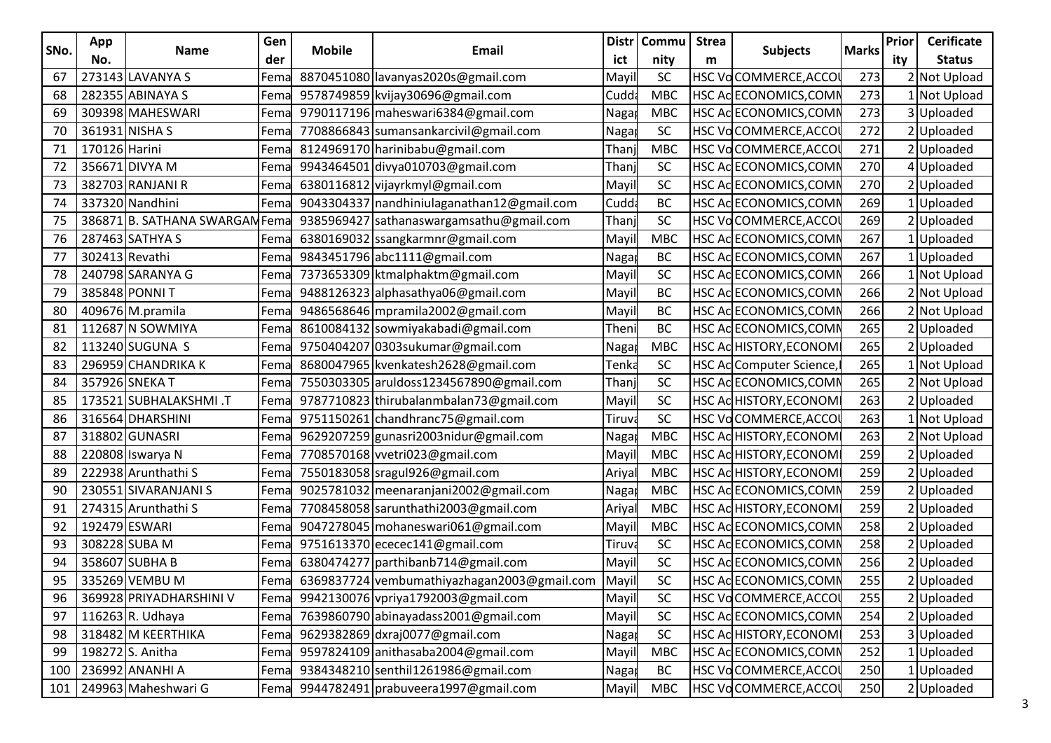|      | App            |                                | Gen  |               |                                              |       | Distr   Commu | <b>Strea</b> |                         |              | Prior | <b>Cerificate</b> |
|------|----------------|--------------------------------|------|---------------|----------------------------------------------|-------|---------------|--------------|-------------------------|--------------|-------|-------------------|
| SNo. | No.            | <b>Name</b>                    | der  | <b>Mobile</b> | Email                                        | ict   | nity          | m            | <b>Subjects</b>         | <b>Marks</b> | ity   | <b>Status</b>     |
| 67   |                | 273143 LAVANYA S               | Fema |               | 8870451080 lavanyas2020s@gmail.com           | Mayi  | <b>SC</b>     |              | HSC VoCOMMERCE, ACCO    | 273          |       | 2 Not Upload      |
| 68   |                | 282355 ABINAYA S               | Fema |               | 9578749859 kvijay30696@gmail.com             | Cudd  | <b>MBC</b>    |              | HSC Ac ECONOMICS, COMI  | 273          |       | 1 Not Upload      |
| 69   |                | 309398 MAHESWARI               | Fema |               | 9790117196 maheswari6384@gmail.com           | Naga  | <b>MBC</b>    |              | HSC Ac ECONOMICS, COMI  | 273          |       | 3Uploaded         |
| 70   |                | 361931 NISHA S                 | Fema |               | 7708866843 sumansankarcivil@gmail.com        | Naga  | SC            |              | HSC VoCOMMERCE, ACCO    | 272          |       | 2 Uploaded        |
| 71   | 170126 Harini  |                                | Fema |               | 8124969170 harinibabu@gmail.com              | Than  | <b>MBC</b>    |              | HSC VoCOMMERCE, ACCO    | 271          |       | 2Uploaded         |
| 72   |                | 356671 DIVYA M                 | Fema |               | 9943464501 divya010703@gmail.com             | Than  | <b>SC</b>     |              | HSC Ac ECONOMICS, COMI  | 270          |       | 4Uploaded         |
| 73   |                | 382703 RANJANI R               | Fema |               | 6380116812 vijayrkmyl@gmail.com              | Mayi  | <b>SC</b>     |              | HSC Ac ECONOMICS, COMI  | 270          |       | 2 Uploaded        |
| 74   |                | 337320 Nandhini                | Fema |               | 9043304337   nandhiniulaganathan12@gmail.com | Cudd  | BC            |              | HSC Ac ECONOMICS, COMI  | 269          |       | 1 Uploaded        |
| 75   |                | 386871 B. SATHANA SWARGAM Fema |      |               | 9385969427 sathanaswargamsathu@gmail.com     | Than  | SC            |              | HSC VoCOMMERCE, ACCO    | 269          |       | 2 Uploaded        |
| 76   |                | 287463 SATHYA S                | Fema |               | 6380169032 ssangkarmnr@gmail.com             | May   | <b>MBC</b>    |              | HSC Ac ECONOMICS, COMI  | 267          |       | 1Uploaded         |
| 77   | 302413 Revathi |                                | Fema |               | 9843451796 abc1111@gmail.com                 | Naga  | BC            |              | HSC Ac ECONOMICS, COMI  | 267          |       | 1 Uploaded        |
| 78   |                | 240798 SARANYA G               | Fema |               | 7373653309 ktmalphaktm@gmail.com             | Mayi  | <b>SC</b>     |              | HSC Ac ECONOMICS, COMI  | 266          |       | 1 Not Upload      |
| 79   |                | 385848 PONNIT                  | Fema |               | 9488126323 alphasathya06@gmail.com           | Mayi  | ВC            |              | HSC Ac ECONOMICS, COMI  | 266          |       | 2 Not Upload      |
| 80   |                | 409676 M.pramila               | Fema |               | 9486568646 mpramila2002@gmail.com            | Mayi  | BC            |              | HSC Ac ECONOMICS,COMI   | 266          |       | 2 Not Upload      |
| 81   |                | 112687 N SOWMIYA               | Fema |               | 8610084132 sowmiyakabadi@gmail.com           | Then  | BC            |              | HSC Ac ECONOMICS,COMI   | 265          |       | 2Uploaded         |
| 82   |                | 113240 SUGUNA S                | Fema |               | 9750404207 0303sukumar@gmail.com             | Naga  | <b>MBC</b>    |              | HSC ACHISTORY, ECONOM   | 265          |       | 2 Uploaded        |
| 83   |                | 296959 CHANDRIKA K             | Fema |               | 8680047965 kvenkatesh2628@gmail.com          | Tenk  | <b>SC</b>     |              | HSC Ac Computer Science | 265          |       | 1 Not Upload      |
| 84   |                | 357926 SNEKA T                 | Fema |               | 7550303305 aruldoss1234567890@gmail.com      | Than  | <b>SC</b>     |              | HSC ACECONOMICS, COMI   | 265          |       | 2 Not Upload      |
| 85   |                | 173521 SUBHALAKSHMI .T         | Fema |               | 9787710823 thirubalanmbalan73@gmail.com      | Mayi  | SC            |              | HSC AcHISTORY, ECONOM   | 263          |       | 2 Uploaded        |
| 86   |                | 316564 DHARSHINI               | Fema |               | 9751150261 chandhranc75@gmail.com            | Tiruv | SC            |              | HSC VoCOMMERCE, ACCO    | 263          |       | 1 Not Upload      |
| 87   |                | 318802 GUNASRI                 | Fema |               | 9629207259 gunasri2003nidur@gmail.com        | Naga  | <b>MBC</b>    |              | HSC ACHISTORY, ECONOM   | 263          |       | 2 Not Upload      |
| 88   |                | 220808 Iswarya N               | Fema |               | 7708570168 vvetri023@gmail.com               | Mayi  | <b>MBC</b>    |              | HSC AcHISTORY, ECONOM   | 259          |       | 2 Uploaded        |
| 89   |                | 222938 Arunthathi S            | Fema |               | 7550183058 sragul926@gmail.com               | Ariya | <b>MBC</b>    |              | HSC ACHISTORY, ECONOM   | 259          |       | 2 Uploaded        |
| 90   |                | 230551 SIVARANJANI S           | Fema |               | 9025781032 meenaranjani2002@gmail.com        | Naga  | <b>MBC</b>    |              | HSC Ac ECONOMICS, COMI  | 259          |       | 2 Uploaded        |
| 91   |                | 274315 Arunthathi S            | Fema |               | 7708458058 sarunthathi2003@gmail.com         | Ariya | <b>MBC</b>    |              | HSC AdHISTORY, ECONOM   | 259          |       | 2Uploaded         |
| 92   |                | 192479 ESWARI                  | Fema |               | 9047278045 mohaneswari061@gmail.com          | May   | <b>MBC</b>    |              | HSC Ac ECONOMICS, COMI  | 258          |       | 2Uploaded         |
| 93   |                | 308228 SUBA M                  | Fema |               | 9751613370 ececec141@gmail.com               | Tiruv | SC            |              | HSC AdECONOMICS, COMP   | 258          |       | 2 Uploaded        |
| 94   |                | 358607 SUBHA B                 | Fema |               | 6380474277 parthibanb714@gmail.com           | Mayi  | <b>SC</b>     |              | HSC ACECONOMICS, COMI   | 256          |       | 2 Uploaded        |
|      |                | 95 335269 VEMBU M              | Fema |               | 6369837724 vembumathiyazhagan2003@gmail.com  | Mayil | <b>SC</b>     |              | HSC ACECONOMICS, COMN   | 255          |       | 2 Uploaded        |
|      |                | 96 369928 PRIYADHARSHINI V     | Fema |               | 9942130076 vpriya1792003@gmail.com           | Mayi  | <b>SC</b>     |              | HSC VoCOMMERCE, ACCO    | 255          |       | 2 Uploaded        |
|      |                | 97 116263 R. Udhaya            | Fema |               | 7639860790 abinayadass2001@gmail.com         | Mayi  | SC            |              | HSC AC ECONOMICS, COMM  | 254          |       | 2Uploaded         |
|      |                | 98 318482 M KEERTHIKA          | Fema |               | 9629382869 dxraj0077@gmail.com               | Naga  | ${\sf SC}$    |              | HSC ACHISTORY, ECONOM   | 253          |       | 3 Uploaded        |
| 99   |                | 198272 S. Anitha               | Fema |               | 9597824109 anithasaba2004@gmail.com          | Mayi  | <b>MBC</b>    |              | HSC Ac ECONOMICS, COMN  | 252          |       | 1Uploaded         |
|      |                | 100 236992 ANANHI A            | Fema |               | 9384348210 senthil1261986@gmail.com          | Naga  | <b>BC</b>     |              | HSC VoCOMMERCE, ACCOL   | 250          |       | 1 Uploaded        |
|      |                | 101 249963 Maheshwari G        | Fema |               | 9944782491 prabuveera1997@gmail.com          | Mayi  | MBC           |              | HSC VoCOMMERCE, ACCO    | 250          |       | 2 Uploaded        |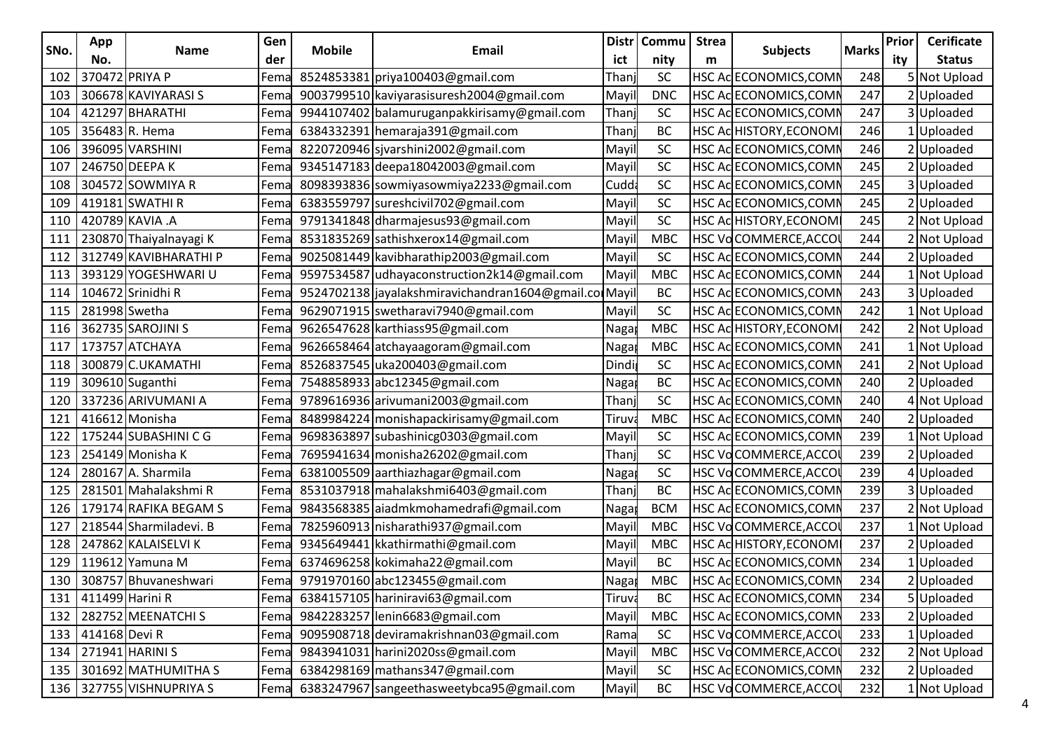|      | App                 |                              | Gen  |               |                                                  |         | Distr   Commu | <b>Strea</b> |                        |              | Prior | <b>Cerificate</b> |
|------|---------------------|------------------------------|------|---------------|--------------------------------------------------|---------|---------------|--------------|------------------------|--------------|-------|-------------------|
| SNo. | No.                 | <b>Name</b>                  | der  | <b>Mobile</b> | Email                                            | ict     | nity          | m            | <b>Subjects</b>        | <b>Marks</b> | ity   | <b>Status</b>     |
|      | 102 370472 PRIYA P  |                              | Fema |               | 8524853381 priya100403@gmail.com                 | Than    | <b>SC</b>     |              | HSC Ac ECONOMICS,COMI  | 248          |       | 5 Not Upload      |
|      |                     | 103 306678 KAVIYARASI S      | Fema |               | 9003799510 kaviyarasisuresh2004@gmail.com        | Mayi    | <b>DNC</b>    |              | HSC AdECONOMICS, COMI  | 247          |       | 2 Uploaded        |
|      |                     | 104 421297 BHARATHI          | Fema |               | 9944107402 balamuruganpakkirisamy@gmail.com      | Than    | <b>SC</b>     |              | HSC Ac ECONOMICS, COMI | 247          |       | 3Uploaded         |
|      |                     | 105 356483 R. Hema           | Fema |               | 6384332391 hemaraja391@gmail.com                 | Than    | <b>BC</b>     |              | HSC AcHISTORY,ECONOM   | 246          |       | 1 Uploaded        |
|      |                     | 106 396095 VARSHINI          | Fema |               | 8220720946 sjvarshini 2002@gmail.com             | Mayi    | SC            |              | HSC ACECONOMICS, COMI  | 246          |       | 2 Uploaded        |
|      |                     | 107 246750 DEEPA K           | Fema |               | 9345147183 deepa18042003@gmail.com               | Mayi    | <b>SC</b>     |              | HSC Ac ECONOMICS, COMI | 245          |       | 2Uploaded         |
|      |                     | 108 304572 SOWMIYA R         | Fema |               | 8098393836 sowmiyasowmiya2233@gmail.com          | Cudd    | <b>SC</b>     |              | HSC Ac ECONOMICS, COMI | 245          |       | 3 Uploaded        |
|      |                     | 109 419181 SWATHI R          | Fema |               | 6383559797 sureshcivil 702@gmail.com             | Mayi    | SC            |              | HSC Ac ECONOMICS, COMI | 245          |       | 2 Uploaded        |
|      |                     | 110 420789 KAVIA .A          | Fema |               | 9791341848 dharmajesus93@gmail.com               | May     | <b>SC</b>     |              | HSC AcHISTORY,ECONOM   | 245          |       | 2 Not Upload      |
|      |                     | 111   230870 Thaiyalnayagi K | Fema |               | 8531835269 sathishxerox14@gmail.com              | May     | <b>MBC</b>    |              | HSC VoCOMMERCE, ACCO   | 244          |       | 2 Not Upload      |
|      |                     | 112 312749 KAVIBHARATHI P    | Fema |               | 9025081449 kavibharathip2003@gmail.com           | Mayi    | SC            |              | HSC Ac ECONOMICS, COMI | 244          |       | 2Uploaded         |
|      |                     | 113   393129 YOGESHWARI U    | Fema |               | 9597534587 udhayaconstruction2k14@gmail.com      | Mayi    | MBC           |              | HSC Ac ECONOMICS, COMI | 244          |       | 1 Not Upload      |
|      |                     | 114   104672 Srinidhi R      | Fema |               | 9524702138 jayalakshmiravichandran1604@gmail.com |         | BC            |              | HSC Ac ECONOMICS, COMI | 243          |       | 3 Uploaded        |
|      | 115 281998 Swetha   |                              | Fema |               | 9629071915 swetharavi7940@gmail.com              | May     | SC            |              | HSC Ac ECONOMICS,COMI  | 242          |       | 1 Not Upload      |
|      |                     | 116 362735 SAROJINI S        | Fema |               | 9626547628 karthiass95@gmail.com                 | Naga    | <b>MBC</b>    |              | HSC ACHISTORY, ECONOM  | 242          |       | 2 Not Upload      |
|      |                     | 117   173757 ATCHAYA         | Fema |               | 9626658464 atchayaagoram@gmail.com               | Naga    | <b>MBC</b>    |              | HSC Ac ECONOMICS, COMI | 241          |       | 1 Not Upload      |
|      |                     | 118   300879 C.UKAMATHI      | Fema |               | 8526837545   uka200403@gmail.com                 | Dind    | SC            |              | HSC Ac ECONOMICS, COMI | 241          |       | 2 Not Upload      |
|      |                     | 119 309610 Suganthi          | Fema |               | 7548858933 abc12345@gmail.com                    | Naga    | BC            |              | HSC Ac ECONOMICS, COMI | 240          |       | 2Uploaded         |
| 120  |                     | 337236 ARIVUMANI A           | Fema |               | 9789616936 arivumani2003@gmail.com               | Than    | SC            |              | HSC Ac ECONOMICS,COMI  | 240          |       | 4 Not Upload      |
|      |                     | 121 416612 Monisha           | Fema |               | 8489984224 monishapackirisamy@gmail.com          | Tiruy   | <b>MBC</b>    |              | HSC AdECONOMICS, COMI  | 240          |       | 2Uploaded         |
|      |                     | 122 175244 SUBASHINI C G     | Fema |               | 9698363897 subashinicg0303@gmail.com             | Mayi    | <b>SC</b>     |              | HSC Ac ECONOMICS, COMI | 239          |       | 1 Not Upload      |
|      |                     | 123   254149 Monisha K       | Fema |               | 7695941634 monisha26202@gmail.com                | Than    | <b>SC</b>     |              | HSC VoCOMMERCE, ACCO   | 239          |       | 2 Uploaded        |
|      |                     | 124   280167 A. Sharmila     | Fema |               | 6381005509 aarthiazhagar@gmail.com               | $N$ aga | <b>SC</b>     |              | HSC VoCOMMERCE,ACCO    | 239          |       | 4 Uploaded        |
| 125  |                     | 281501 Mahalakshmi R         | Fema |               | 8531037918 mahalakshmi6403@gmail.com             | Than    | BC            |              | HSC Ac ECONOMICS, COM  | 239          |       | 3 Uploaded        |
| 126  |                     | 179174 RAFIKA BEGAM S        | Fema |               | 9843568385 aiadmkmohamedrafi@gmail.com           | Naga    | <b>BCM</b>    |              | HSC AdECONOMICS, COMI  | 237          |       | 2 Not Upload      |
| 127  |                     | 218544 Sharmiladevi. B       | Fema |               | 7825960913 nisharathi937@gmail.com               | May     | <b>MBC</b>    |              | HSC VoCOMMERCE, ACCO   | 237          |       | 1 Not Upload      |
|      |                     | 128 247862 KALAISELVI K      | Fema |               | 9345649441 kkathirmathi@gmail.com                | Mayi    | <b>MBC</b>    |              | HSC AdHISTORY, ECONOM  | 237          |       | 2 Uploaded        |
|      |                     | 129   119612 Yamuna M        | -ema |               | 6374696258 kokimaha22@gmail.com                  | Mayi    | ВC            |              | HSC Ac ECONOMICS, COMI | 234          |       | 1 Uploaded        |
|      |                     | 130 308757 Bhuvaneshwari     | Fema |               | 9791970160 abc123455@gmail.com                   | Naga    | <b>MBC</b>    |              | HSC ACECONOMICS, COMP  | 234          |       | 2 Uploaded        |
|      | 131 411499 Harini R |                              | Fema |               | 6384157105 hariniravi63@gmail.com                | Tiruva  | BC            |              | HSC AC ECONOMICS, COMN | 234          |       | 5 Uploaded        |
|      |                     | 132 282752 MEENATCHI S       | Fema |               | 9842283257 lenin6683@gmail.com                   | Mayi    | <b>MBC</b>    |              | HSC AC ECONOMICS, COMN | 233          |       | 2 Uploaded        |
|      | 133 414168 Devi R   |                              | Fema |               | 9095908718 deviramakrishnan03@gmail.com          | Rama    | <b>SC</b>     |              | HSC VoCOMMERCE, ACCOL  | 233          |       | 1 Uploaded        |
|      |                     | 134 271941 HARINI S          | Fema |               | 9843941031 harini2020ss@gmail.com                | Mayi    | <b>MBC</b>    |              | HSC VoCOMMERCE, ACCO   | 232          |       | 2 Not Upload      |
|      |                     | 135 301692 MATHUMITHA S      | Fema |               | 6384298169 mathans347@gmail.com                  | Mayi    | SC            |              | HSC AC ECONOMICS, COMN | 232          |       | 2 Uploaded        |
|      |                     | 136 327755 VISHNUPRIYA S     | Fema |               | 6383247967 sangeethasweetybca95@gmail.com        | Mayi    | BC            |              | HSC VoCOMMERCE, ACCOL  | 232          |       | 1 Not Upload      |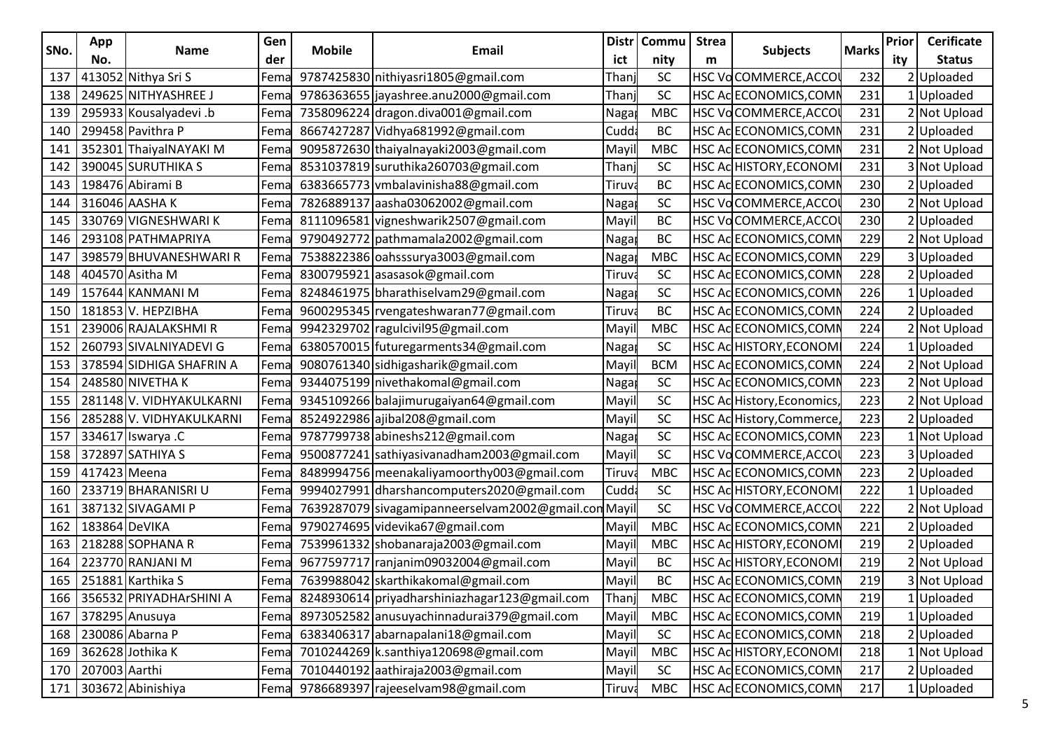|      | App                 |                                | Gen  |               |                                                     |        | Distr   Commu | <b>Strea</b> |                           |              | Prior | <b>Cerificate</b> |
|------|---------------------|--------------------------------|------|---------------|-----------------------------------------------------|--------|---------------|--------------|---------------------------|--------------|-------|-------------------|
| SNo. | No.                 | <b>Name</b>                    | der  | <b>Mobile</b> | Email                                               | ict    | nity          | m            | <b>Subjects</b>           | <b>Marks</b> | ity   | <b>Status</b>     |
| 137  |                     | 413052 Nithya Sri S            | Fema |               | 9787425830 nithiyasri1805@gmail.com                 | Than   | <b>SC</b>     |              | HSC VoCOMMERCE,ACCO       | 232          |       | 2Uploaded         |
|      |                     | 138   249625 NITHYASHREE J     | Fema |               | 9786363655 jayashree.anu2000@gmail.com              | Than   | <b>SC</b>     |              | HSC Ac ECONOMICS, COMI    | 231          |       | 1Uploaded         |
|      |                     | 139 295933 Kousalyadevi .b     | Fema |               | 7358096224 dragon.diva001@gmail.com                 | Naga   | <b>MBC</b>    |              | HSC VoCOMMERCE,ACCO       | 231          |       | 2 Not Upload      |
|      |                     | 140 299458 Pavithra P          | Fema |               | 8667427287 Vidhya681992@gmail.com                   | Cudd   | BC            |              | HSC AC ECONOMICS, COMI    | 231          |       | 2 Uploaded        |
|      |                     | 141   352301 ThaiyalNAYAKI M   | Fema |               | 9095872630 thaiyalnayaki2003@gmail.com              | Mayi   | <b>MBC</b>    |              | HSC Ac ECONOMICS, COMI    | 231          |       | 2 Not Upload      |
|      |                     | 142 390045 SURUTHIKA S         | Fema |               | 8531037819 suruthika260703@gmail.com                | Than   | SC            |              | HSC AcHISTORY, ECONOM     | 231          |       | 3 Not Upload      |
|      |                     | 143   198476 Abirami B         | Fema |               | 6383665773 vmbalavinisha88@gmail.com                | Tiruv  | ВC            |              | HSC Ac ECONOMICS, COMI    | 230          |       | 2Uploaded         |
|      |                     | 144 316046 AASHA K             | Fema |               | 7826889137 aasha03062002@gmail.com                  | Naga   | <b>SC</b>     |              | HSC VoCOMMERCE, ACCO      | 230          |       | 2 Not Upload      |
|      |                     | 145 330769 VIGNESHWARI K       | Fema |               | 8111096581 vigneshwarik2507@gmail.com               | May    | BC            |              | HSC VoCOMMERCE,ACCO       | 230          |       | 2 Uploaded        |
|      |                     | 146   293108 PATHMAPRIYA       | Fema |               | 9790492772 pathmamala2002@gmail.com                 | Naga   | BC            |              | HSC Ac ECONOMICS, COMI    | 229          |       | 2 Not Upload      |
| 147  |                     | 398579 BHUVANESHWARI R         | Fema |               | 7538822386 oahsssurya3003@gmail.com                 | Naga   | <b>MBC</b>    |              | HSC Ac ECONOMICS, COMI    | 229          |       | 3Uploaded         |
|      |                     | 148   404570 Asitha M          | Fema |               | 8300795921 asasasok@gmail.com                       | Tiruva | <b>SC</b>     |              | HSC Ac ECONOMICS, COMI    | 228          |       | 2Uploaded         |
|      |                     | 149   157644 KANMANI M         | Fema |               | 8248461975 bharathiselvam29@gmail.com               | Naga   | SC            |              | HSC Ac ECONOMICS, COMI    | 226          |       | 1 Uploaded        |
| 150  |                     | 181853 V. HEPZIBHA             | Fema |               | 9600295345 rvengateshwaran77@gmail.com              | Tiruv  | BC            |              | HSC Ac ECONOMICS, COM     | 224          |       | 2 Uploaded        |
|      |                     | 151   239006 RAJALAKSHMI R     | Fema |               | 9942329702 ragulcivil95@gmail.com                   | May    | <b>MBC</b>    |              | HSC Ac ECONOMICS, COMI    | 224          |       | 2 Not Upload      |
|      |                     | 152   260793 SIVALNIYADEVI G   | Fema |               | 6380570015 futuregarments34@gmail.com               | Naga   | <b>SC</b>     |              | HSC ACHISTORY, ECONOM     | 224          |       | 1Uploaded         |
|      |                     | 153   378594 SIDHIGA SHAFRIN A | Fema |               | 9080761340 sidhigasharik@gmail.com                  | Mayi   | <b>BCM</b>    |              | HSC Ac ECONOMICS, COMI    | 224          |       | 2 Not Upload      |
|      |                     | 154   248580 NIVETHA K         | Fema |               | 9344075199 nivethakomal@gmail.com                   | Naga   | <b>SC</b>     |              | HSC Ac ECONOMICS, COMI    | 223          |       | 2 Not Upload      |
|      |                     | 155   281148 V. VIDHYAKULKARNI | Fema |               | 9345109266 balajimurugaiyan64@gmail.com             | May    | SC            |              | HSC Ac History, Economics | 223          |       | 2 Not Upload      |
|      |                     | 156   285288 V. VIDHYAKULKARNI | Fema |               | 8524922986 ajibal208@gmail.com                      | Mayi   | SC            |              | HSC Ac History, Commerce  | 223          |       | 2Uploaded         |
|      |                     | 157 334617 Iswarya .C          | Fema |               | 9787799738 abineshs212@gmail.com                    | Naga   | <b>SC</b>     |              | HSC Ac ECONOMICS, COMI    | 223          |       | 1 Not Upload      |
|      |                     | 158   372897 SATHIYA S         | Fema |               | 9500877241 sathiyasivanadham2003@gmail.com          | Mayi   | <b>SC</b>     |              | HSC VoCOMMERCE, ACCO      | 223          |       | 3 Uploaded        |
|      | 159   417423 Meena  |                                | Fema |               | 8489994756 meenakaliyamoorthy003@gmail.com          | Tiruv  | <b>MBC</b>    |              | HSC Ac ECONOMICS, COMI    | 223          |       | 2 Uploaded        |
|      |                     | 160   233719 BHARANISRI U      | Fema |               | 9994027991 dharshancomputers2020@gmail.com          | Cudd   | SC            |              | HSC AcHISTORY,ECONOM      | 222          |       | 1Uploaded         |
| 161  |                     | 387132 SIVAGAMI P              | Fema |               | 7639287079 sivagamipanneerselvam2002@gmail.com Mayi |        | SC            |              | HSC VoCOMMERCE, ACCO      | 222          |       | 2 Not Upload      |
|      | 162   183864 DeVIKA |                                | Fema |               | 9790274695 videvika67@gmail.com                     | Mayi   | <b>MBC</b>    |              | HSC Ac ECONOMICS, COMI    | 221          |       | 2Uploaded         |
|      |                     | 163 218288 SOPHANA R           | Fema |               | 7539961332 shobanaraja2003@gmail.com                | Mayi   | <b>MBC</b>    |              | HSC ACHISTORY, ECONOM     | 219          |       | 2 Uploaded        |
|      |                     | 164   223770 RANJANI M         | -ema |               | 9677597717 ranjanim09032004@gmail.com               | Mayi   | ВC            |              | HSC AcHISTORY, ECONOM     | 219          |       | 2 Not Upload      |
|      |                     | 165 251881 Karthika S          | Fema |               | 7639988042 skarthikakomal@gmail.com                 | Mayi   | BC            |              | HSC Ac ECONOMICS,COMI     | 219          |       | 3 Not Upload      |
|      |                     | 166 356532 PRIYADHArSHINI A    | Fema |               | 8248930614 priyadharshiniazhagar123@gmail.com       | Than   | MBC           |              | HSC ACECONOMICS, COMN     | 219          |       | 1 Uploaded        |
|      |                     | 167 378295 Anusuya             | Fema |               | 8973052582 anusuyachinnadurai379@gmail.com          | Mayi   | MBC           |              | HSC Ac ECONOMICS, COMN    | 219          |       | 1 Uploaded        |
|      |                     | 168   230086 Abarna P          | Fema |               | 6383406317 abarnapalani18@gmail.com                 | Mayi   | <b>SC</b>     |              | HSC Ac ECONOMICS, COMN    | 218          |       | 2 Uploaded        |
|      |                     | 169 362628 Jothika K           | Fema |               | 7010244269 k.santhiya120698@gmail.com               | Mayi   | <b>MBC</b>    |              | HSC ACHISTORY, ECONOM     | 218          |       | 1 Not Upload      |
|      | 170 207003 Aarthi   |                                | Fema |               | 7010440192 aathiraja2003@gmail.com                  | Mayi   | SC            |              | HSC AC ECONOMICS, COMN    | 217          |       | 2 Uploaded        |
|      |                     | 171 303672 Abinishiya          | Fema |               | 9786689397 rajeeselvam98@gmail.com                  | Tiruva | MBC           |              | HSC Ac ECONOMICS, COMN    | 217          |       | 1 Uploaded        |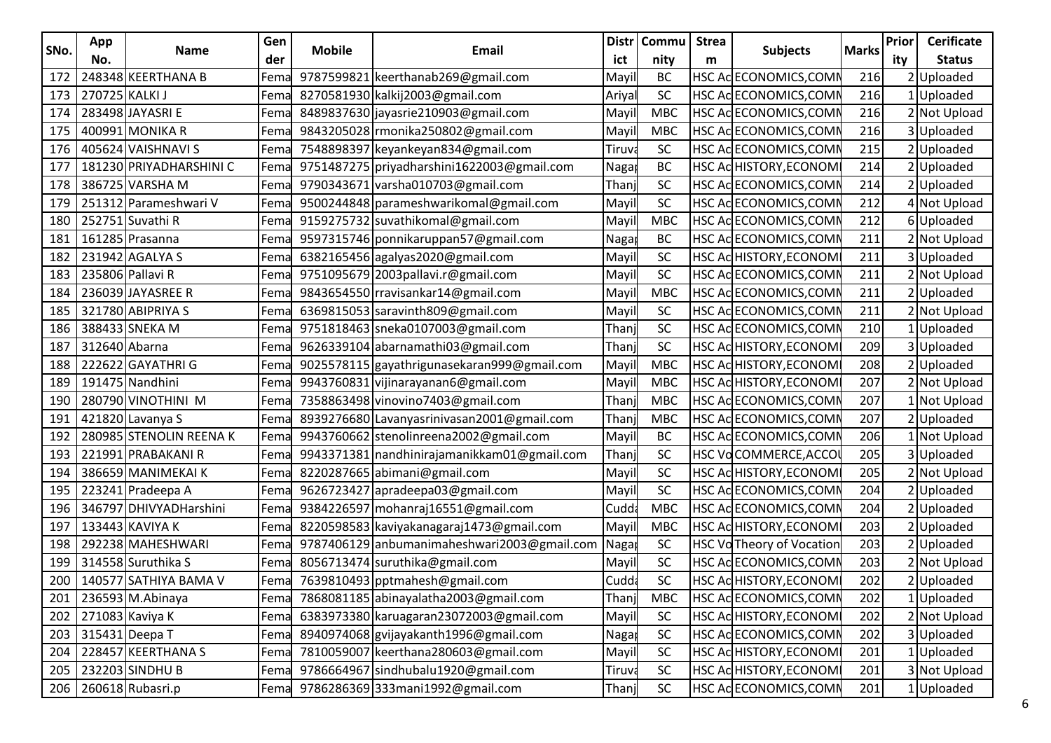|      | App                  |                               | Gen  |               |                                               |        | Distr   Commu | <b>Strea</b> |                              |              | Prior | <b>Cerificate</b> |
|------|----------------------|-------------------------------|------|---------------|-----------------------------------------------|--------|---------------|--------------|------------------------------|--------------|-------|-------------------|
| SNo. | No.                  | <b>Name</b>                   | der  | <b>Mobile</b> | Email                                         | ict    | nity          | m            | <b>Subjects</b>              | <b>Marks</b> | ity   | <b>Status</b>     |
|      |                      | 172   248348 KEERTHANA B      | Fema |               | 9787599821 keerthanab269@gmail.com            | Mayi   | BC            |              | HSC Ac ECONOMICS, COM        | 216          |       | 2Uploaded         |
|      | 173   270725 KALKI J |                               | Fema |               | 8270581930 kalkij2003@gmail.com               | Ariya  | SC            |              | HSC Ac ECONOMICS, COMI       | 216          |       | 1Uploaded         |
|      |                      | 174   283498 JAYASRI E        | Fema |               | 8489837630 jayasrie 210903@gmail.com          | May    | <b>MBC</b>    |              | HSC Ac ECONOMICS, COMI       | 216          |       | 2 Not Upload      |
|      |                      | 175   400991 MONIKA R         | Fema |               | 9843205028 monika250802@gmail.com             | May    | <b>MBC</b>    |              | HSC Ac ECONOMICS,COMI        | 216          |       | 3 Uploaded        |
|      |                      | 176   405624 VAISHNAVI S      | Fema |               | 7548898397 keyankeyan834@gmail.com            | Tiruv  | <b>SC</b>     |              | HSC Ac ECONOMICS, COMI       | 215          |       | 2Uploaded         |
| 177  |                      | 181230 PRIYADHARSHINI C       | Fema |               | 9751487275 priyadharshini1622003@gmail.com    | Naga   | BC            |              | HSC AcHISTORY, ECONOM        | 214          |       | 2Uploaded         |
|      |                      | 178   386725 VARSHA M         | Fema |               | 9790343671 varsha010703@gmail.com             | Than   | <b>SC</b>     |              | HSC Ac ECONOMICS, COMI       | 214          |       | 2Uploaded         |
|      |                      | 179   251312   Parameshwari V | Fema |               | 9500244848 parameshwarikomal@gmail.com        | Mayi   | SC            |              | HSC Ac ECONOMICS, COMI       | 212          |       | 4 Not Upload      |
|      |                      | 180 252751 Suvathi R          | Fema |               | 9159275732 suvathikomal@gmail.com             | May    | <b>MBC</b>    |              | HSC Ac ECONOMICS,COMI        | 212          |       | 6Uploaded         |
| 181  |                      | 161285 Prasanna               | Fema |               | 9597315746 ponnikaruppan57@gmail.com          | Naga   | BC            |              | HSC Ac ECONOMICS, COMI       | 211          |       | 2 Not Upload      |
|      |                      | 182   231942 AGALYA S         | Fema |               | 6382165456 agalyas2020@gmail.com              | Mayi   | <b>SC</b>     |              | HSC ACHISTORY, ECONOM        | 211          |       | 3Uploaded         |
|      |                      | 183   235806   Pallavi R      | Fema |               | 9751095679 2003 pallavi.r@gmail.com           | Mayi   | <b>SC</b>     |              | HSC Ac ECONOMICS, COMI       | 211          |       | 2 Not Upload      |
|      |                      | 184   236039 JAYASREE R       | Fema |               | 9843654550 rravisankar14@gmail.com            | Mayi   | <b>MBC</b>    |              | HSC Ac ECONOMICS, COMI       | 211          |       | 2 Uploaded        |
|      |                      | 185 321780 ABIPRIYA S         | Fema |               | 6369815053 saravinth809@gmail.com             | May    | SC            |              | HSC Ac ECONOMICS,COMI        | 211          |       | 2 Not Upload      |
|      |                      | 186   388433 SNEKA M          | Fema |               | 9751818463 sneka0107003@gmail.com             | Than   | SC            |              | HSC ACECONOMICS, COMI        | 210          |       | 1 Uploaded        |
|      | 187 312640 Abarna    |                               | Fema |               | 9626339104 abarnamathi03@gmail.com            | Than   | <b>SC</b>     |              | HSC ACHISTORY, ECONOM        | 209          |       | 3Uploaded         |
|      |                      | 188   222622   GAYATHRI G     | Fema |               | 9025578115   gayathrigunasekaran999@gmail.com | Mayi   | MBC           |              | HSC AcHISTORY, ECONOM        | 208          |       | 2Uploaded         |
| 189  |                      | 191475 Nandhini               | Fema |               | 9943760831 vijinarayanan6@gmail.com           | Mayi   | <b>MBC</b>    |              | <b>HSC ACHISTORY, ECONOM</b> | 207          |       | 2 Not Upload      |
| 190  |                      | 280790 VINOTHINI M            | Fema |               | 7358863498 vinovino7403@gmail.com             | Than   | <b>MBC</b>    |              | HSC Ac ECONOMICS,COMI        | 207          |       | 1 Not Upload      |
|      |                      | 191 421820 Lavanya S          | Fema |               | 8939276680 Lavanyasrinivasan2001@gmail.com    | Thar   | <b>MBC</b>    |              | HSC Ac ECONOMICS, COMI       | 207          |       | 2Uploaded         |
|      |                      | 192   280985 STENOLIN REENA K | Fema |               | 9943760662 stenolinreena2002@gmail.com        | Mayi   | BC            |              | HSC Ac ECONOMICS, COMI       | 206          |       | 1 Not Upload      |
|      |                      | 193   221991 PRABAKANI R      | Fema |               | 9943371381   nandhinirajamanikkam01@gmail.com | Than   | <b>SC</b>     |              | HSC VoCOMMERCE, ACCO         | 205          |       | 3 Uploaded        |
|      |                      | 194   386659 MANIMEKAI K      | Fema |               | 8220287665 abimani@gmail.com                  | Mayi   | SC            |              | HSC ACHISTORY, ECONOM        | 205          |       | 2 Not Upload      |
|      |                      | 195   223241 Pradeepa A       | Fema |               | 9626723427 apradeepa03@gmail.com              | May    | SC            |              | HSC Ac ECONOMICS,COMI        | 204          |       | 2Uploaded         |
|      |                      | 196   346797 DHIVYADHarshini  | Fema |               | 9384226597 mohanraj16551@gmail.com            | Cudc   | <b>MBC</b>    |              | HSC AdECONOMICS, COMI        | 204          |       | 2Uploaded         |
| 197  |                      | 133443 KAVIYA K               | Fema |               | 8220598583 kaviyakanagaraj1473@gmail.com      | May    | <b>MBC</b>    |              | HSC ACHISTORY, ECONOM        | 203          |       | 2Uploaded         |
|      |                      | 198   292238 MAHESHWARI       | Fema |               | 9787406129 anbumanimaheshwari2003@gmail.com   | Naga   | <b>SC</b>     |              | HSC Vo Theory of Vocation    | 203          |       | 2 Uploaded        |
|      |                      | 199 314558 Suruthika S        | Fema |               | 8056713474 suruthika@gmail.com                | Mayi   | <b>SC</b>     |              | HSC Ac ECONOMICS, COMI       | 203          |       | 2 Not Upload      |
|      |                      | 200   140577 SATHIYA BAMA V   | Fema |               | 7639810493 pptmahesh@gmail.com                | Cudd   | SC            |              | <b>HSC ACHISTORY, ECONOM</b> | 202          |       | 2 Uploaded        |
|      |                      | 201   236593 M.Abinaya        | Fema |               | 7868081185 abinayalatha2003@gmail.com         | Than   | MBC           |              | HSC ACECONOMICS, COMN        | 202          |       | 1 Uploaded        |
|      |                      | 202   271083 Kaviya K         | Fema |               | 6383973380 karuagaran23072003@gmail.com       | Mayi   | SC            |              | HSC AcHISTORY, ECONOM        | 202          |       | 2 Not Upload      |
|      |                      | 203 315431 Deepa T            | Fema |               | 8940974068 gvijayakanth1996@gmail.com         | Naga   | <b>SC</b>     |              | HSC Ac ECONOMICS, COMN       | 202          |       | 3 Uploaded        |
|      |                      | 204 228457 KEERTHANA S        | Fema |               | 7810059007 keerthana280603@gmail.com          | Mayi   | <b>SC</b>     |              | HSC ACHISTORY, ECONOM        | 201          |       | 1Uploaded         |
|      |                      | 205 232203 SINDHU B           | Fema |               | 9786664967 sindhubalu1920@gmail.com           | Tiruva | SC            |              | HSC AcHISTORY, ECONOM        | 201          |       | 3 Not Upload      |
|      |                      | 206 260618 Rubasri.p          |      |               | Fema 9786286369 333mani1992@gmail.com         | Than   | SC            |              | HSC Ac ECONOMICS, COMN       | 201          |       | 1 Uploaded        |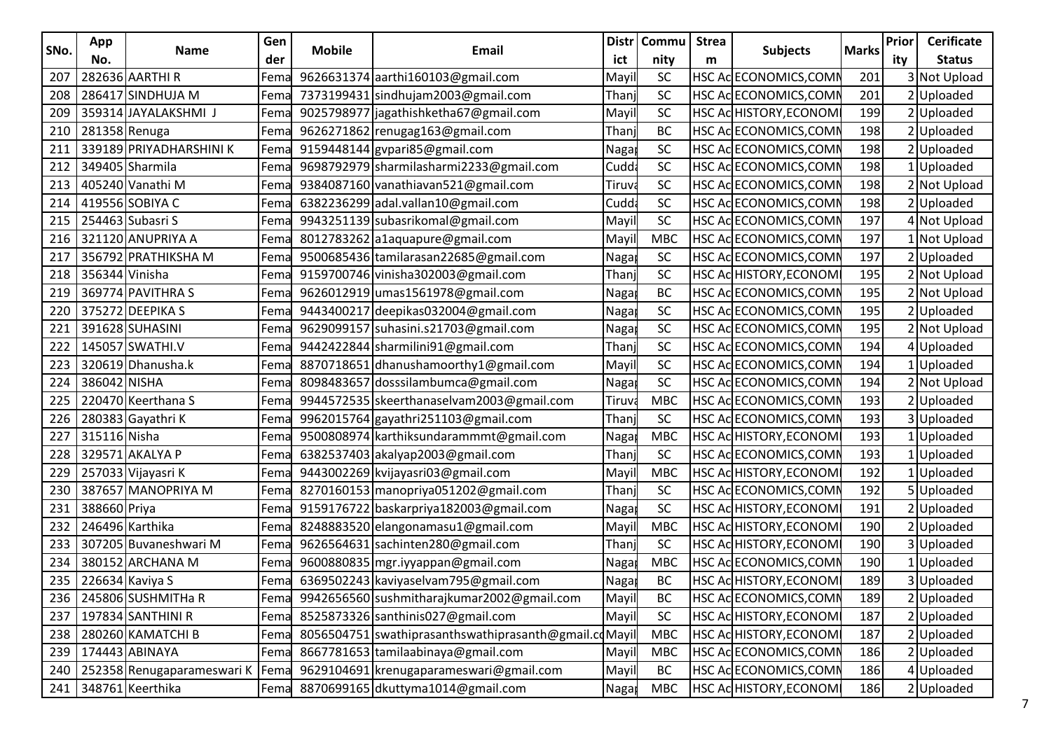|      | App             |                                         | Gen  |               | <b>Distr</b>                                          |        | Commu      | <b>Strea</b> |                        |              | Prior | <b>Cerificate</b> |
|------|-----------------|-----------------------------------------|------|---------------|-------------------------------------------------------|--------|------------|--------------|------------------------|--------------|-------|-------------------|
| SNo. | No.             | <b>Name</b>                             | der  | <b>Mobile</b> | Email                                                 | ict    | nity       | m            | <b>Subjects</b>        | <b>Marks</b> | ity   | <b>Status</b>     |
| 207  |                 | 282636 AARTHI R                         | Fema |               | 9626631374 aarthi160103@gmail.com                     | Mayil  | <b>SC</b>  |              | HSC AC ECONOMICS, COMN | 201          |       | 3 Not Upload      |
| 208  |                 | 286417 SINDHUJA M                       | Fema |               | 7373199431 sindhujam2003@gmail.com                    | Thanj  | SC         |              | HSC ACECONOMICS, COMN  | 201          |       | 2 Uploaded        |
| 209  |                 | 359314 JAYALAKSHMI J                    | Fema |               | 9025798977 jagathishketha67@gmail.com                 | Mayil  | SC         |              | HSC ACHISTORY, ECONOMI | 199          |       | 2 Uploaded        |
| 210  | 281358 Renuga   |                                         | Fema |               | 9626271862 renugag163@gmail.com                       | Thanj  | BC         |              | HSC Ac ECONOMICS, COMM | 198          |       | 2 Uploaded        |
| 211  |                 | 339189 PRIYADHARSHINI K                 | Fema |               | 9159448144 gvpari85@gmail.com                         | Naga   | SC         |              | HSC AC ECONOMICS, COMN | 198          |       | 2 Uploaded        |
| 212  |                 | 349405 Sharmila                         | Fema |               | 9698792979 sharmilasharmi2233@gmail.com               | Cudd   | SC         |              | HSC Ac ECONOMICS, COMI | 198          |       | 1Uploaded         |
| 213  |                 | 405240 Vanathi M                        | Fema |               | 9384087160 vanathiavan521@gmail.com                   | Tiruva | SC         |              | HSC Ac ECONOMICS, COMN | 198          |       | 2 Not Upload      |
| 214  |                 | 419556 SOBIYA C                         | Fema |               | 6382236299 adal.vallan10@gmail.com                    | Cudd   | SC         |              | HSC AC ECONOMICS, COMN | 198          |       | 2 Uploaded        |
| 215  |                 | 254463 Subasri S                        | Fema |               | 9943251139 subasrikomal@gmail.com                     | Mayil  | SC         |              | HSC AcECONOMICS, COMN  | 197          |       | 4 Not Upload      |
| 216  |                 | 321120 ANUPRIYA A                       | Fema |               | 8012783262 a1aquapure@gmail.com                       | Mayil  | <b>MBC</b> |              | HSC ACECONOMICS, COMN  | 197          |       | 1 Not Upload      |
| 217  |                 | 356792 PRATHIKSHA M                     | Fema |               | 9500685436 tamilarasan22685@gmail.com                 | Naga   | SC         |              | HSC ACECONOMICS, COMN  | 197          |       | 2 Uploaded        |
| 218  | 356344 Vinisha  |                                         | Fema |               | 9159700746 vinisha302003@gmail.com                    | Thanj  | SC         |              | HSC ACHISTORY, ECONOM  | 195          |       | 2 Not Upload      |
| 219  |                 | 369774 PAVITHRA S                       | Fema |               | 9626012919 umas1561978@gmail.com                      | Naga   | <b>BC</b>  |              | HSC AC ECONOMICS, COMN | 195          |       | 2 Not Upload      |
| 220  |                 | 375272 DEEPIKA S                        | Fema |               | 9443400217 deepikas032004@gmail.com                   | Nagar  | SC         |              | HSC AC ECONOMICS, COMN | 195          |       | 2 Uploaded        |
| 221  |                 | 391628 SUHASINI                         | Fema |               | 9629099157 suhasini.s21703@gmail.com                  | Naga   | SC         |              | HSC ACECONOMICS, COMP  | 195          |       | 2 Not Upload      |
| 222  |                 | 145057 SWATHI.V                         | Fema |               | 9442422844 sharmilini91@gmail.com                     | Thanj  | SC         |              | HSC Ac ECONOMICS, COMN | 194          |       | 4 Uploaded        |
| 223  |                 | 320619 Dhanusha.k                       | Fema |               | 8870718651 dhanushamoorthy1@gmail.com                 | Mayil  | SC         |              | HSC AC ECONOMICS, COMN | 194          |       | 1 Uploaded        |
| 224  | 386042 NISHA    |                                         | Fema |               | 8098483657 dosssilambumca@gmail.com                   | Naga   | SC         |              | HSC ACECONOMICS, COMN  | 194          |       | 2 Not Upload      |
| 225  |                 | 220470 Keerthana S                      | Fema |               | 9944572535 skeerthanaselvam2003@gmail.com             | Tiruva | <b>MBC</b> |              | HSC AC ECONOMICS, COMN | 193          |       | 2 Uploaded        |
| 226  |                 | 280383 Gayathri K                       | Fema |               | 9962015764 gayathri251103@gmail.com                   | Thanj  | SC         |              | HSC Ac ECONOMICS, COMP | 193          |       | 3 Uploaded        |
| 227  | 315116 Nisha    |                                         | Fema |               | 9500808974 karthiksundarammmt@gmail.com               | Naga   | <b>MBC</b> |              | HSC ACHISTORY, ECONOM  | 193          |       | 1Uploaded         |
| 228  |                 | 329571 AKALYA P                         | Fema |               | 6382537403 akalyap2003@gmail.com                      | Thanj  | SC         |              | HSC ACECONOMICS, COMN  | 193          |       | 1 Uploaded        |
| 229  |                 | 257033 Vijayasri K                      | Fema |               | 9443002269 kvijayasri03@gmail.com                     | Mayil  | <b>MBC</b> |              | HSC ACHISTORY, ECONOMI | 192          |       | 1Uploaded         |
| 230  |                 | 387657 MANOPRIYA M                      | Fema |               | 8270160153 manopriya051202@gmail.com                  | Thanj  | SC         |              | HSC AC ECONOMICS, COMN | 192          |       | 5Uploaded         |
| 231  | 388660 Priya    |                                         | Fema |               | 9159176722 baskarpriya182003@gmail.com                | Naga   | SC         |              | HSC ACHISTORY, ECONOMI | 191          |       | 2 Uploaded        |
| 232  | 246496 Karthika |                                         | Fema |               | 8248883520 elangonamasu1@gmail.com                    | Mayil  | <b>MBC</b> |              | HSC ACHISTORY, ECONOM  | 190          |       | 2 Uploaded        |
| 233  |                 | 307205 Buvaneshwari M                   | Fema |               | 9626564631 sachinten280@gmail.com                     | Thanj  | SC         |              | HSC ACHISTORY, ECONOM  | 190          |       | 3 Uploaded        |
| 234  |                 | 380152 ARCHANA M                        | Fema |               | 9600880835 mgr.iyyappan@gmail.com                     | Naga   | <b>MBC</b> |              | HSC AC ECONOMICS, COMN | 190          |       | <b>Uploaded</b>   |
| 235  | 226634 Kaviya S |                                         | Fema |               | 6369502243 kaviyaselvam795@gmail.com                  | Naga   | <b>BC</b>  |              | HSC ACHISTORY, ECONOMI | 189          |       | 3 Uploaded        |
|      |                 | 236 245806 SUSHMITHa R                  | Fema |               | 9942656560 sushmitharajkumar2002@gmail.com            | Mayil  | BC         |              | HSC Ac ECONOMICS, COMN | 189          |       | 2 Uploaded        |
| 237  |                 | 197834 SANTHINI R                       | Fema |               | 8525873326 santhinis027@gmail.com                     | Mayil  | SC         |              | HSC AcHISTORY, ECONOMI | 187          |       | 2 Uploaded        |
|      |                 | 238 280260 KAMATCHI B                   | Fema |               | 8056504751 swathiprasanthswathiprasanth@gmail.cdMayil |        | <b>MBC</b> |              | HSC ACHISTORY, ECONOMI | 187          |       | 2 Uploaded        |
|      |                 | 239   174443   ABINAYA                  | Fema |               | 8667781653 tamilaabinaya@gmail.com                    | Mayil  | <b>MBC</b> |              | HSC Ac ECONOMICS, COMN | 186          |       | 2 Uploaded        |
|      |                 | 240   252358 Renugaparameswari K   Fema |      |               | 9629104691 krenugaparameswari@gmail.com               | Mayil  | BC         |              | HSC Ac ECONOMICS, COMN | 186          |       | 4 Uploaded        |
|      |                 | 241 348761 Keerthika                    | Fema |               | 8870699165 dkuttyma1014@gmail.com                     | Nagar  | MBC        |              | HSC ACHISTORY, ECONOM  | 186          |       | 2 Uploaded        |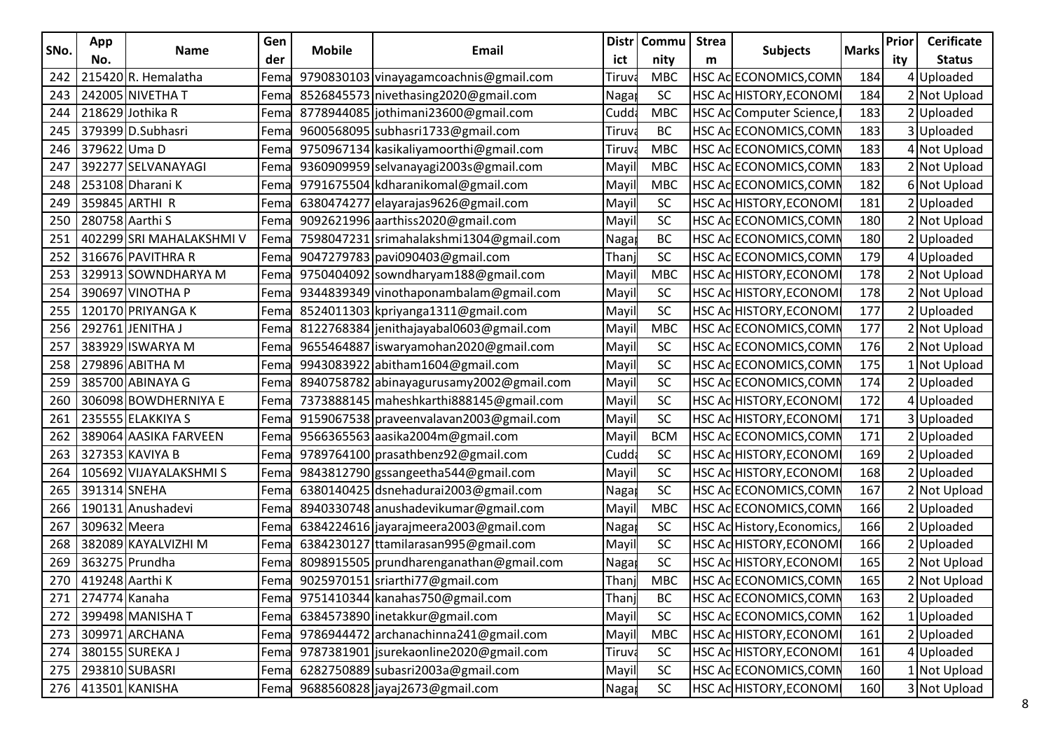| SNo. | App                 |                          | Gen  | <b>Mobile</b> | <b>Email</b>                             |                   | <b>Distr</b><br><b>Commu</b> | <b>Strea</b> | <b>Subjects</b>                | <b>Marks</b> | Prior | <b>Cerificate</b> |
|------|---------------------|--------------------------|------|---------------|------------------------------------------|-------------------|------------------------------|--------------|--------------------------------|--------------|-------|-------------------|
|      | No.                 | Name                     | der  |               |                                          | ict               | nity                         | m            |                                |              | ity   | <b>Status</b>     |
| 242  |                     | 215420R. Hemalatha       | Fema |               | 9790830103 vinayagamcoachnis@gmail.com   | Tiruv             | <b>MBC</b>                   |              | HSC AcECONOMICS, COMN          | 184          |       | 4Uploaded         |
| 243  |                     | 242005 NIVETHA T         | Fema |               | 8526845573 nivethasing2020@gmail.com     | Naga              | SC                           |              | HSC ACHISTORY, ECONOM          | 184          |       | 2 Not Upload      |
| 244  |                     | 218629 Jothika R         | Fema |               | 8778944085 jothimani23600@gmail.com      | Cudd              | <b>MBC</b>                   |              | HSC Ac Computer Science,       | 183          |       | 2 Uploaded        |
| 245  |                     | 379399 D.Subhasri        | Fema |               | 9600568095 subhasri1733@gmail.com        | Tiruv             | <b>BC</b>                    |              | HSC ACECONOMICS, COMN          | 183          |       | 3Uploaded         |
| 246  | 379622 Uma D        |                          | Fema |               | 9750967134 kasikaliyamoorthi@gmail.com   | Tiruv             | <b>MBC</b>                   |              | HSC Ac ECONOMICS, COMN         | 183          |       | 4 Not Upload      |
| 247  |                     | 392277 SELVANAYAGI       | Fema |               | 9360909959 selvanayagi2003s@gmail.com    | Mayi              | <b>MBC</b>                   |              | HSC AC ECONOMICS, COMN         | 183          |       | 2 Not Upload      |
| 248  |                     | 253108 Dharani K         | Fema |               | 9791675504 kdharanikomal@gmail.com       | Mayi              | <b>MBC</b>                   |              | HSC AC ECONOMICS, COMN         | 182          |       | 6 Not Upload      |
| 249  |                     | 359845 ARTHI R           | Fema |               | 6380474277 elayarajas9626@gmail.com      | Mayi              | SC                           |              | HSC ACHISTORY, ECONOMI         | 181          |       | 2 Uploaded        |
| 250  |                     | 280758 Aarthi S          | Fema |               | 9092621996 aarthiss2020@gmail.com        | Mayil             | SC                           |              | HSC ACECONOMICS, COMN          | 180          |       | 2 Not Upload      |
| 251  |                     | 402299 SRI MAHALAKSHMI V | Fema |               | 7598047231 srimahalakshmi1304@gmail.com  | Naga              | <b>BC</b>                    |              | HSC AC ECONOMICS, COMN         | 180          |       | 2Uploaded         |
| 252  |                     | 316676 PAVITHRA R        | Fema |               | 9047279783 pavi090403@gmail.com          | Than              | SC                           |              | HSC AC ECONOMICS, COMN         | 179          |       | 4 Uploaded        |
| 253  |                     | 329913 SOWNDHARYA M      | Fema |               | 9750404092 sowndharyam188@gmail.com      | Mayil             | <b>MBC</b>                   |              | HSC ACHISTORY, ECONOMI         | 178          |       | 2 Not Upload      |
| 254  |                     | 390697 VINOTHA P         | Fema |               | 9344839349 vinothaponambalam@gmail.com   | Mayil             | SC                           |              | HSC ACHISTORY, ECONOMI         | 178          |       | 2 Not Upload      |
| 255  |                     | 120170 PRIYANGA K        | Fema |               | 8524011303 kpriyanga1311@gmail.com       | Mayil             | SC                           |              | HSC ACHISTORY, ECONOMI         | 177          |       | 2Uploaded         |
| 256  |                     | 292761 JENITHA J         | Fema |               | 8122768384 jenithajayabal0603@gmail.com  | Mayi              | <b>MBC</b>                   |              | HSC Ac ECONOMICS, COMN         | 177          |       | 2 Not Upload      |
| 257  |                     | 383929 ISWARYA M         | Fema |               | 9655464887   iswaryamohan2020@gmail.com  | Mayi              | SC                           |              | HSC AC ECONOMICS, COMN         | 176          |       | 2 Not Upload      |
| 258  |                     | 279896 ABITHA M          | Fema |               | 9943083922 abitham1604@gmail.com         | Mayil             | SC                           |              | HSC AC ECONOMICS, COMN         | 175          |       | 1 Not Upload      |
| 259  |                     | 385700 ABINAYA G         | Fema |               | 8940758782 abinayagurusamy2002@gmail.com | Mayil             | SC                           |              | HSC AC ECONOMICS, COMN         | 174          |       | 2 Uploaded        |
| 260  |                     | 306098 BOWDHERNIYA E     | Fema |               | 7373888145 maheshkarthi888145@gmail.com  | Mayil             | SC                           |              | HSC ACHISTORY, ECONOM          | 172          |       | 4 Uploaded        |
| 261  |                     | 235555 ELAKKIYA S        | Fema |               | 9159067538 praveenvalavan2003@gmail.com  | Mayil             | SC                           |              | HSC ACHISTORY, ECONOMI         | 171          |       | 3Uploaded         |
| 262  |                     | 389064 AASIKA FARVEEN    | Fema |               | 9566365563 aasika2004m@gmail.com         | Mayi              | <b>BCM</b>                   |              | HSC AC ECONOMICS, COMN         | 171          |       | 2 Uploaded        |
| 263  |                     | 327353 KAVIYA B          | Fema |               | 9789764100 prasathbenz92@gmail.com       | Cudd              | <b>SC</b>                    |              | HSC ACHISTORY, ECONOMI         | 169          |       | 2 Uploaded        |
| 264  |                     | 105692 VIJAYALAKSHMI S   | Fema |               | 9843812790 gssangeetha544@gmail.com      | Mayil             | SC                           |              | HSC ACHISTORY, ECONOMI         | 168          |       | 2Uploaded         |
| 265  | 391314 SNEHA        |                          | Fema |               | 6380140425 dsnehadurai2003@gmail.com     | Naga <sup>®</sup> | SC                           |              | HSC Ac ECONOMICS, COMN         | 167          |       | 2 Not Upload      |
| 266  |                     | 190131 Anushadevi        | Fema |               | 8940330748 anushadevikumar@gmail.com     | Mayi              | <b>MBC</b>                   |              | HSC AC ECONOMICS, COMN         | 166          |       | 2Uploaded         |
| 267  | 309632 Meera        |                          | Fema |               | 6384224616 jayaraj meera 2003@gmail.com  | Naga              | SC                           |              | HSC Ac History, Economics,     | 166          |       | 2 Uploaded        |
| 268  |                     | 382089 KAYALVIZHI M      | Fema |               | 6384230127 ttamilarasan995@gmail.com     | Mayil             | SC                           |              | HSC ACHISTORY, ECONOMI         | 166          |       | 2 Uploaded        |
| 269  |                     | 363275 Prundha           | Fema |               | 8098915505 prundharenganathan@gmail.com  | Naga              | SC                           |              | HSC ACHISTORY, ECONOM          | 165          |       | 2 Not Upload      |
|      | 270 419248 Aarthi K |                          | Fema |               | 9025970151 sriarthi77@gmail.com          | Thanj             | <b>MBC</b>                   |              | HSC AcECONOMICS, COMN          | 165          |       | 2 Not Upload      |
|      | 271   274774 Kanaha |                          | Fema |               | 9751410344 kanahas 750@gmail.com         | Thanj             | BC                           |              | HSC AC ECONOMICS, COMN         | 163          |       | 2 Uploaded        |
|      |                     | 272 399498 MANISHA T     | Fema |               | 6384573890 inetakkur@gmail.com           | Mayil             | SC                           |              | HSC AC ECONOMICS, COMN         | 162          |       | 1Uploaded         |
|      |                     | 273 309971 ARCHANA       | Fema |               | 9786944472 archanachinna241@gmail.com    | Mayil             | <b>MBC</b>                   |              | HSC ACHISTORY, ECONOM          | 161          |       | 2 Uploaded        |
|      |                     | 274 380155 SUREKA J      | Fema |               | 9787381901 jsurekaonline2020@gmail.com   | Tiruva            | <b>SC</b>                    |              | HSC AcHISTORY, ECONOMI         | 161          |       | 4Uploaded         |
|      |                     | 275 293810 SUBASRI       | Fema |               | 6282750889 subasri2003a@gmail.com        | Mayil             | SC                           |              | HSC AC ECONOMICS, COMN         | 160          |       | 1 Not Upload      |
|      |                     | 276 413501 KANISHA       |      |               | Fema 9688560828 jayaj2673@gmail.com      | Naga              | <b>SC</b>                    |              | <b>HSC AC HISTORY, ECONOMI</b> | 160          |       | 3 Not Upload      |